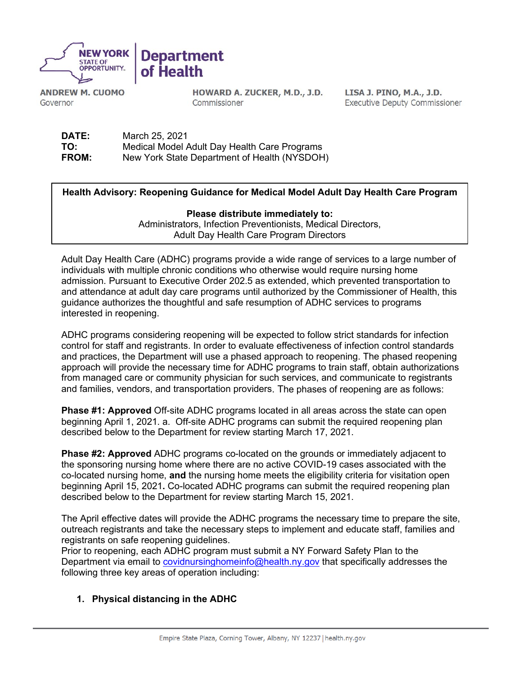

**ANDREW M. CUOMO** Governor

HOWARD A. ZUCKER, M.D., J.D. Commissioner

LISA J. PINO, M.A., J.D. **Executive Deputy Commissioner** 

| DATE:        | March 25, 2021                               |
|--------------|----------------------------------------------|
| TO:          | Medical Model Adult Day Health Care Programs |
| <b>FROM:</b> | New York State Department of Health (NYSDOH) |

## **Health Advisory: Reopening Guidance for Medical Model Adult Day Health Care Program**

**Please distribute immediately to:** Administrators, Infection Preventionists, Medical Directors, Adult Day Health Care Program Directors

Adult Day Health Care (ADHC) programs provide a wide range of services to a large number of individuals with multiple chronic conditions who otherwise would require nursing home admission. Pursuant to Executive Order 202.5 as extended, which prevented transportation to and attendance at adult day care programs until authorized by the Commissioner of Health, this guidance authorizes the thoughtful and safe resumption of ADHC services to programs interested in reopening.

ADHC programs considering reopening will be expected to follow strict standards for infection control for staff and registrants. In order to evaluate effectiveness of infection control standards and practices, the Department will use a phased approach to reopening. The phased reopening approach will provide the necessary time for ADHC programs to train staff, obtain authorizations from managed care or community physician for such services, and communicate to registrants and families, vendors, and transportation providers. The phases of reopening are as follows:

**Phase #1: Approved** Off-site ADHC programs located in all areas across the state can open beginning April 1, 2021. a. Off-site ADHC programs can submit the required reopening plan described below to the Department for review starting March 17, 2021.

**Phase #2: Approved** ADHC programs co-located on the grounds or immediately adjacent to the sponsoring nursing home where there are no active COVID-19 cases associated with the co-located nursing home, **and** the nursing home meets the eligibility criteria for visitation open beginning April 15, 2021**.** Co-located ADHC programs can submit the required reopening plan described below to the Department for review starting March 15, 2021.

The April effective dates will provide the ADHC programs the necessary time to prepare the site, outreach registrants and take the necessary steps to implement and educate staff, families and registrants on safe reopening guidelines.

Prior to reopening, each ADHC program must submit a NY Forward Safety Plan to the Department via email to [covidnursinghomeinfo@health.ny.gov](mailto:covidnursinghomeinfo@health.ny.gov) that specifically addresses the following three key areas of operation including:

## **1. Physical distancing in the ADHC**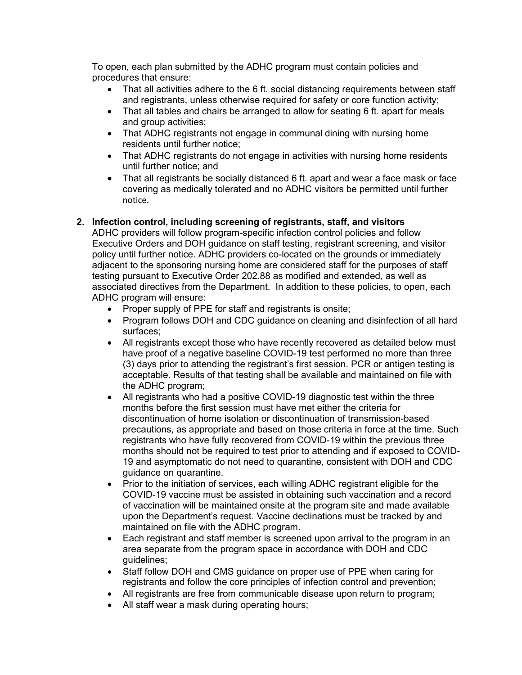To open, each plan submitted by the ADHC program must contain policies and procedures that ensure:

- That all activities adhere to the 6 ft. social distancing requirements between staff and registrants, unless otherwise required for safety or core function activity;
- That all tables and chairs be arranged to allow for seating 6 ft. apart for meals and group activities;
- That ADHC registrants not engage in communal dining with nursing home residents until further notice;
- That ADHC registrants do not engage in activities with nursing home residents until further notice; and
- That all registrants be socially distanced 6 ft. apart and wear a face mask or face covering as medically tolerated and no ADHC visitors be permitted until further notice.

## **2. Infection control, including screening of registrants, staff, and visitors**

ADHC providers will follow program-specific infection control policies and follow Executive Orders and DOH guidance on staff testing, registrant screening, and visitor policy until further notice. ADHC providers co-located on the grounds or immediately adjacent to the sponsoring nursing home are considered staff for the purposes of staff testing pursuant to Executive Order 202.88 as modified and extended, as well as associated directives from the Department. In addition to these policies, to open, each ADHC program will ensure:

- Proper supply of PPE for staff and registrants is onsite;
- Program follows DOH and CDC guidance on cleaning and disinfection of all hard surfaces;
- All registrants except those who have recently recovered as detailed below must have proof of a negative baseline COVID-19 test performed no more than three (3) days prior to attending the registrant's first session. PCR or antigen testing is acceptable. Results of that testing shall be available and maintained on file with the ADHC program;
- All registrants who had a positive COVID-19 diagnostic test within the three months before the first session must have met either the criteria for discontinuation of home isolation or discontinuation of transmission-based precautions, as appropriate and based on those criteria in force at the time. Such registrants who have fully recovered from COVID-19 within the previous three months should not be required to test prior to attending and if exposed to COVID-19 and asymptomatic do not need to quarantine, consistent with DOH and CDC guidance on quarantine.
- Prior to the initiation of services, each willing ADHC registrant eligible for the COVID-19 vaccine must be assisted in obtaining such vaccination and a record of vaccination will be maintained onsite at the program site and made available upon the Department's request. Vaccine declinations must be tracked by and maintained on file with the ADHC program.
- Each registrant and staff member is screened upon arrival to the program in an area separate from the program space in accordance with DOH and CDC guidelines;
- Staff follow DOH and CMS guidance on proper use of PPE when caring for registrants and follow the core principles of infection control and prevention;
- All registrants are free from communicable disease upon return to program;
- All staff wear a mask during operating hours;